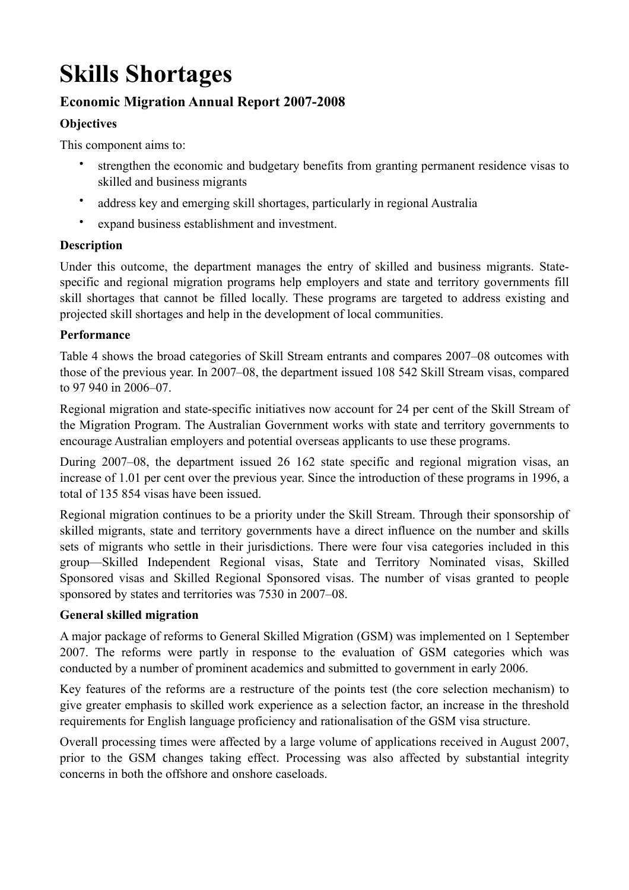# **Skills Shortages**

## **Economic Migration Annual Report 2007-2008**

## **Objectives**

This component aims to:

- strengthen the economic and budgetary benefits from granting permanent residence visas to skilled and business migrants
- address key and emerging skill shortages, particularly in regional Australia
- expand business establishment and investment.

## **Description**

Under this outcome, the department manages the entry of skilled and business migrants. Statespecific and regional migration programs help employers and state and territory governments fill skill shortages that cannot be filled locally. These programs are targeted to address existing and projected skill shortages and help in the development of local communities.

## **Performance**

Table 4 shows the broad categories of Skill Stream entrants and compares 2007–08 outcomes with those of the previous year. In 2007–08, the department issued 108 542 Skill Stream visas, compared to 97 940 in 2006–07.

Regional migration and state-specific initiatives now account for 24 per cent of the Skill Stream of the Migration Program. The Australian Government works with state and territory governments to encourage Australian employers and potential overseas applicants to use these programs.

During 2007–08, the department issued 26 162 state specific and regional migration visas, an increase of 1.01 per cent over the previous year. Since the introduction of these programs in 1996, a total of 135 854 visas have been issued.

Regional migration continues to be a priority under the Skill Stream. Through their sponsorship of skilled migrants, state and territory governments have a direct influence on the number and skills sets of migrants who settle in their jurisdictions. There were four visa categories included in this group—Skilled Independent Regional visas, State and Territory Nominated visas, Skilled Sponsored visas and Skilled Regional Sponsored visas. The number of visas granted to people sponsored by states and territories was 7530 in 2007–08.

## **General skilled migration**

A major package of reforms to General Skilled Migration (GSM) was implemented on 1 September 2007. The reforms were partly in response to the evaluation of GSM categories which was conducted by a number of prominent academics and submitted to government in early 2006.

Key features of the reforms are a restructure of the points test (the core selection mechanism) to give greater emphasis to skilled work experience as a selection factor, an increase in the threshold requirements for English language proficiency and rationalisation of the GSM visa structure.

Overall processing times were affected by a large volume of applications received in August 2007, prior to the GSM changes taking effect. Processing was also affected by substantial integrity concerns in both the offshore and onshore caseloads.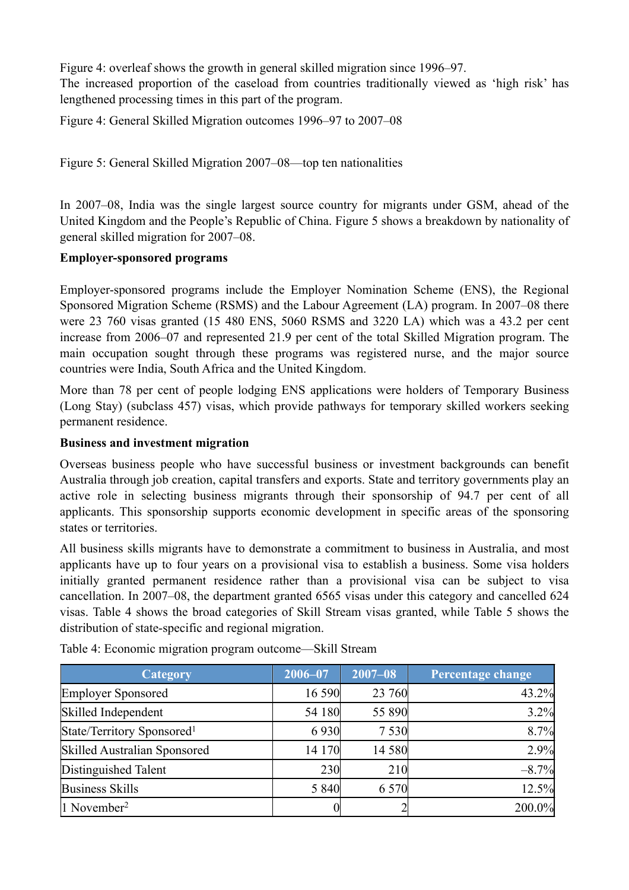Figure 4: overleaf shows the growth in general skilled migration since 1996–97.

The increased proportion of the caseload from countries traditionally viewed as 'high risk' has lengthened processing times in this part of the program.

Figure 4: General Skilled Migration outcomes 1996–97 to 2007–08

Figure 5: General Skilled Migration 2007–08—top ten nationalities

In 2007–08, India was the single largest source country for migrants under GSM, ahead of the United Kingdom and the People's Republic of China. Figure 5 shows a breakdown by nationality of general skilled migration for 2007–08.

#### **Employer-sponsored programs**

Employer-sponsored programs include the Employer Nomination Scheme (ENS), the Regional Sponsored Migration Scheme (RSMS) and the Labour Agreement (LA) program. In 2007–08 there were 23 760 visas granted (15 480 ENS, 5060 RSMS and 3220 LA) which was a 43.2 per cent increase from 2006–07 and represented 21.9 per cent of the total Skilled Migration program. The main occupation sought through these programs was registered nurse, and the major source countries were India, South Africa and the United Kingdom.

More than 78 per cent of people lodging ENS applications were holders of Temporary Business (Long Stay) (subclass 457) visas, which provide pathways for temporary skilled workers seeking permanent residence.

#### **Business and investment migration**

Overseas business people who have successful business or investment backgrounds can benefit Australia through job creation, capital transfers and exports. State and territory governments play an active role in selecting business migrants through their sponsorship of 94.7 per cent of all applicants. This sponsorship supports economic development in specific areas of the sponsoring states or territories.

All business skills migrants have to demonstrate a commitment to business in Australia, and most applicants have up to four years on a provisional visa to establish a business. Some visa holders initially granted permanent residence rather than a provisional visa can be subject to visa cancellation. In 2007–08, the department granted 6565 visas under this category and cancelled 624 visas. Table 4 shows the broad categories of Skill Stream visas granted, while Table 5 shows the distribution of state-specific and regional migration.

| <b>Category</b>                        | $2006 - 07$ | $2007 - 08$ | Percentage change |
|----------------------------------------|-------------|-------------|-------------------|
| <b>Employer Sponsored</b>              | 16 590      | 23 760      | 43.2%             |
| Skilled Independent                    | 54 180      | 55 890      | 3.2%              |
| State/Territory Sponsored <sup>1</sup> | 6930        | 7 5 3 0     | 8.7%              |
| Skilled Australian Sponsored           | 14 170      | 14 580      | 2.9%              |
| Distinguished Talent                   | 230         | 210         | $-8.7%$           |
| <b>Business Skills</b>                 | 5 8 4 0     | 6 5 7 0     | 12.5%             |
| $1$ November <sup>2</sup>              |             |             | 200.0%            |

Table 4: Economic migration program outcome—Skill Stream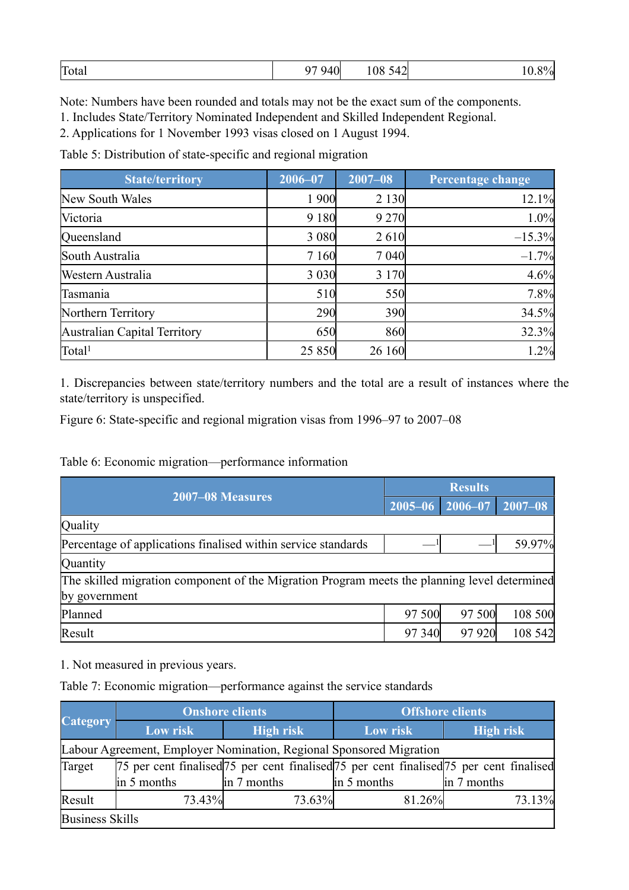| Total | 0.7010<br>4 A<br>. A.J. | 108,542 | 00/<br>″oL |
|-------|-------------------------|---------|------------|
|-------|-------------------------|---------|------------|

Note: Numbers have been rounded and totals may not be the exact sum of the components.

1. Includes State/Territory Nominated Independent and Skilled Independent Regional.

2. Applications for 1 November 1993 visas closed on 1 August 1994.

Table 5: Distribution of state-specific and regional migration

| <b>State/territory</b>       | $2006 - 07$ | $2007 - 08$ | Percentage change |
|------------------------------|-------------|-------------|-------------------|
| New South Wales              | 1 900       | 2 1 3 0     | 12.1%             |
| Victoria                     | 9 1 8 0     | 9 2 7 0     | 1.0%              |
| Queensland                   | 3 0 8 0     | 2610        | $-15.3%$          |
| South Australia              | 7 1 6 0     | 7 0 4 0     | $-1.7%$           |
| Western Australia            | 3 0 3 0 1   | 3 1 7 0     | 4.6%              |
| Tasmania                     | 510         | 550         | 7.8%              |
| Northern Territory           | 290         | 390         | 34.5%             |
| Australian Capital Territory | 650         | 860         | 32.3%             |
| Total <sup>1</sup>           | 25 8 5 0    | 26 160      | 1.2%              |

1. Discrepancies between state/territory numbers and the total are a result of instances where the state/territory is unspecified.

Figure 6: State-specific and regional migration visas from 1996–97 to 2007–08

#### Table 6: Economic migration—performance information

| 2007-08 Measures                                                                             |        | <b>Results</b>         |             |  |
|----------------------------------------------------------------------------------------------|--------|------------------------|-------------|--|
|                                                                                              |        | 2006-07<br>$2005 - 06$ | $2007 - 08$ |  |
| Quality                                                                                      |        |                        |             |  |
| Percentage of applications finalised within service standards                                |        |                        | 59.97%      |  |
| Quantity                                                                                     |        |                        |             |  |
| The skilled migration component of the Migration Program meets the planning level determined |        |                        |             |  |
| by government                                                                                |        |                        |             |  |
| Planned                                                                                      | 97 500 | 97 500                 | 108 500     |  |
| Result                                                                                       | 97 340 | 97 920                 | 108 542     |  |

1. Not measured in previous years.

Table 7: Economic migration—performance against the service standards

|                        | <b>Onshore clients</b>                                              |             | <b>Offshore clients</b> |                                                                                                                               |  |  |
|------------------------|---------------------------------------------------------------------|-------------|-------------------------|-------------------------------------------------------------------------------------------------------------------------------|--|--|
| <b>Category</b>        | Low risk                                                            | High risk   | Low risk                | <b>High risk</b>                                                                                                              |  |  |
|                        | Labour Agreement, Employer Nomination, Regional Sponsored Migration |             |                         |                                                                                                                               |  |  |
| Target                 |                                                                     |             |                         | [75 per cent finalised] <sup>75</sup> per cent finalised <sup>[75</sup> per cent finalised] <sup>75</sup> per cent finalised] |  |  |
|                        | in 5 months                                                         | in 7 months | in 5 months             | in 7 months                                                                                                                   |  |  |
| Result                 | 73.43%                                                              | 73.63%      | 81.26%                  | 73.13%                                                                                                                        |  |  |
| <b>Business Skills</b> |                                                                     |             |                         |                                                                                                                               |  |  |